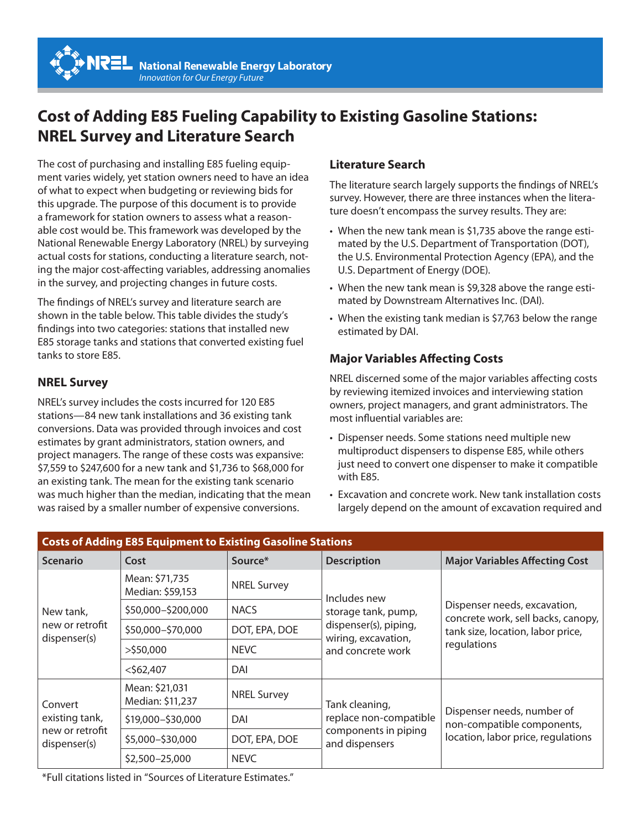# **Cost of Adding E85 Fueling Capability to Existing Gasoline Stations: NREL Survey and Literature Search**

The cost of purchasing and installing E85 fueling equipment varies widely, yet station owners need to have an idea of what to expect when budgeting or reviewing bids for this upgrade. The purpose of this document is to provide a framework for station owners to assess what a reasonable cost would be. This framework was developed by the National Renewable Energy Laboratory (NREL) by surveying actual costs for stations, conducting a literature search, noting the major cost-affecting variables, addressing anomalies in the survey, and projecting changes in future costs.

The findings of NREL's survey and literature search are shown in the table below. This table divides the study's findings into two categories: stations that installed new E85 storage tanks and stations that converted existing fuel tanks to store E85.

### **NREL Survey**

NREL's survey includes the costs incurred for 120 E85 stations—84 new tank installations and 36 existing tank conversions. Data was provided through invoices and cost estimates by grant administrators, station owners, and project managers. The range of these costs was expansive: \$7,559 to \$247,600 for a new tank and \$1,736 to \$68,000 for an existing tank. The mean for the existing tank scenario was much higher than the median, indicating that the mean was raised by a smaller number of expensive conversions.

## **Literature Search**

The literature search largely supports the findings of NREL's survey. However, there are three instances when the literature doesn't encompass the survey results. They are:

- When the new tank mean is \$1,735 above the range estimated by the U.S. Department of Transportation (DOT), the U.S. Environmental Protection Agency (EPA), and the U.S. Department of Energy (DOE).
- When the new tank mean is \$9,328 above the range estimated by Downstream Alternatives Inc. (DAI).
- When the existing tank median is \$7,763 below the range estimated by DAI.

## **Major Variables Affecting Costs**

NREL discerned some of the major variables affecting costs by reviewing itemized invoices and interviewing station owners, project managers, and grant administrators. The most influential variables are:

- Dispenser needs. Some stations need multiple new multiproduct dispensers to dispense E85, while others just need to convert one dispenser to make it compatible with E85.
- Excavation and concrete work. New tank installation costs largely depend on the amount of excavation required and

| <b>Costs of Adding E85 Equipment to Existing Gasoline Stations</b> |                                    |                    |                                                                                                          |                                                                                                                        |
|--------------------------------------------------------------------|------------------------------------|--------------------|----------------------------------------------------------------------------------------------------------|------------------------------------------------------------------------------------------------------------------------|
| <b>Scenario</b>                                                    | Cost                               | Source*            | <b>Description</b>                                                                                       | <b>Major Variables Affecting Cost</b>                                                                                  |
| New tank,<br>new or retrofit<br>dispenser(s)                       | Mean: \$71,735<br>Median: \$59,153 | <b>NREL Survey</b> | Includes new<br>storage tank, pump,<br>dispenser(s), piping,<br>wiring, excavation,<br>and concrete work | Dispenser needs, excavation,<br>concrete work, sell backs, canopy,<br>tank size, location, labor price,<br>regulations |
|                                                                    | \$50,000-\$200,000                 | <b>NACS</b>        |                                                                                                          |                                                                                                                        |
|                                                                    | \$50,000-\$70,000                  | DOT, EPA, DOE      |                                                                                                          |                                                                                                                        |
|                                                                    | $>$ \$50,000                       | <b>NEVC</b>        |                                                                                                          |                                                                                                                        |
|                                                                    | $<$ \$62,407                       | DAI                |                                                                                                          |                                                                                                                        |
| Convert<br>existing tank,<br>new or retrofit<br>dispenser(s)       | Mean: \$21,031<br>Median: \$11,237 | <b>NREL Survey</b> | Tank cleaning,<br>replace non-compatible<br>components in piping<br>and dispensers                       | Dispenser needs, number of<br>non-compatible components,<br>location, labor price, regulations                         |
|                                                                    | \$19,000-\$30,000                  | DAI                |                                                                                                          |                                                                                                                        |
|                                                                    | \$5,000-\$30,000                   | DOT, EPA, DOE      |                                                                                                          |                                                                                                                        |
|                                                                    | \$2,500-25,000                     | <b>NEVC</b>        |                                                                                                          |                                                                                                                        |

\*Full citations listed in "Sources of Literature Estimates."